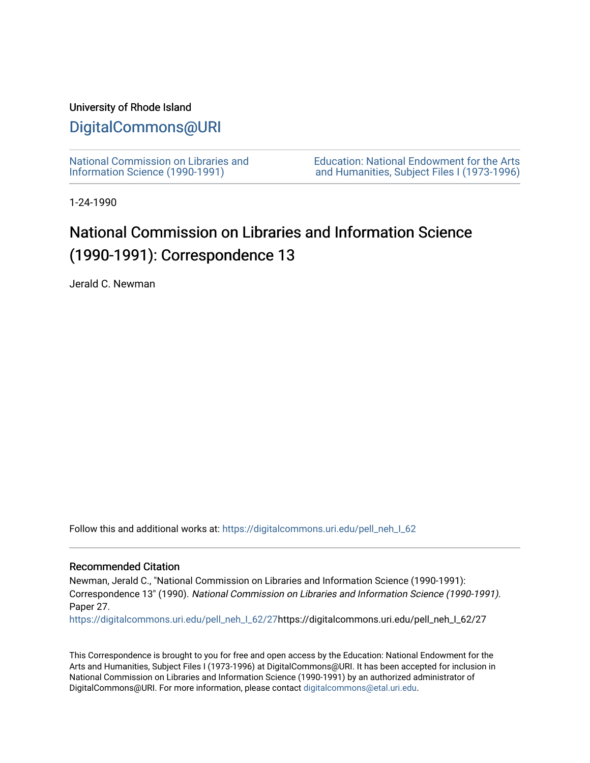## University of Rhode Island

## [DigitalCommons@URI](https://digitalcommons.uri.edu/)

[National Commission on Libraries and](https://digitalcommons.uri.edu/pell_neh_I_62) [Information Science \(1990-1991\)](https://digitalcommons.uri.edu/pell_neh_I_62) 

[Education: National Endowment for the Arts](https://digitalcommons.uri.edu/pell_neh_I)  [and Humanities, Subject Files I \(1973-1996\)](https://digitalcommons.uri.edu/pell_neh_I) 

1-24-1990

## National Commission on Libraries and Information Science (1990-1991): Correspondence 13

Jerald C. Newman

Follow this and additional works at: [https://digitalcommons.uri.edu/pell\\_neh\\_I\\_62](https://digitalcommons.uri.edu/pell_neh_I_62?utm_source=digitalcommons.uri.edu%2Fpell_neh_I_62%2F27&utm_medium=PDF&utm_campaign=PDFCoverPages) 

## Recommended Citation

Newman, Jerald C., "National Commission on Libraries and Information Science (1990-1991): Correspondence 13" (1990). National Commission on Libraries and Information Science (1990-1991). Paper 27.

[https://digitalcommons.uri.edu/pell\\_neh\\_I\\_62/27h](https://digitalcommons.uri.edu/pell_neh_I_62/27?utm_source=digitalcommons.uri.edu%2Fpell_neh_I_62%2F27&utm_medium=PDF&utm_campaign=PDFCoverPages)ttps://digitalcommons.uri.edu/pell\_neh\_I\_62/27

This Correspondence is brought to you for free and open access by the Education: National Endowment for the Arts and Humanities, Subject Files I (1973-1996) at DigitalCommons@URI. It has been accepted for inclusion in National Commission on Libraries and Information Science (1990-1991) by an authorized administrator of DigitalCommons@URI. For more information, please contact [digitalcommons@etal.uri.edu.](mailto:digitalcommons@etal.uri.edu)